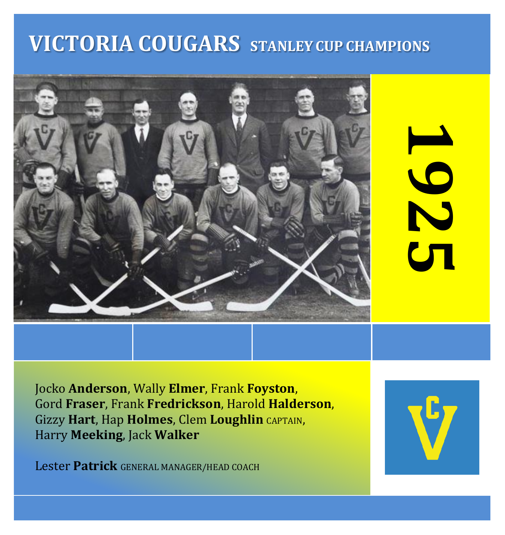# **VICTORIA COUGARS STANLEY CUP CHAMPIONS**



192  $\mathbf{C}$ **1** 

Jocko **Anderson**, Wally **Elmer**, Frank **Foyston**, Gord **Fraser**, Frank **Fredrickson**, Harold **Halderson**, Gizzy **Hart**, Hap **Holmes**, Clem **Loughlin** CAPTAIN, Harry **Meeking**, Jack **Walker**

Lester **Patrick** GENERAL MANAGER/HEAD COACH

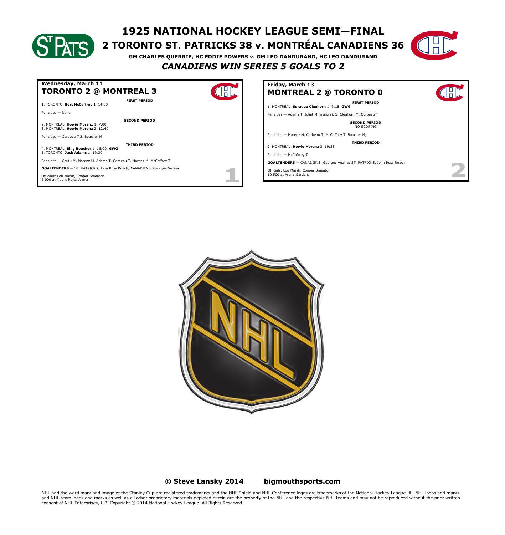# **1925 NATIONAL HOCKEY LEAGUE SEMI—FINAL**

## **2 TORONTO ST. PATRICKS 38 v. MONTRÉAL CANADIENS 36**



**GM CHARLES QUERRIE, HC EDDIE POWERS v. GM LEO DANDURAND, HC LEO DANDURAND** *CANADIENS WIN SERIES 5 GOALS TO 2*



| Friday, March 13                                                              |  |
|-------------------------------------------------------------------------------|--|
| <b>MONTREAL 2 @ TORONTO 0</b>                                                 |  |
| <b>FIRST PERIOD</b>                                                           |  |
| 1. MONTREAL, Sprague Cleghorn 1 9:15 GWG                                      |  |
| Penalties - Adams T Joliat M (majors), S. Cleghorn M, Corbeau T               |  |
| <b>SECOND PERIOD</b><br>NO SCORING                                            |  |
| Penalties - Morenz M, Corbeau T, McCaffrey T Boucher M,                       |  |
| <b>THIRD PERIOD</b>                                                           |  |
| 2. MONTREAL, Howie Morenz 3 19:35                                             |  |
| Penalties - McCafrrey T                                                       |  |
| <b>GOALTENDERS</b> - CANADIENS, Georges Vézina: ST, PATRICKS, John Ross Roach |  |
| Officials: Lou Marsh, Cooper Smeaton<br>10 500 at Arena Gardens               |  |



#### **© Steve Lansky 2014 [bigmouthsports.com](http://bigmouthsports.com/stanley-cup-playoff-summaries/)**

NHL and the word mark and image of the Stanley Cup are registered trademarks and the NHL Shield and NHL Conference logos are trademarks of the National Hockey League. All NHL logos and marks<br>and NHL team logos and marks as consent of NHL Enterprises, L.P. Copyright © 2014 National Hockey League. All Rights Reserved.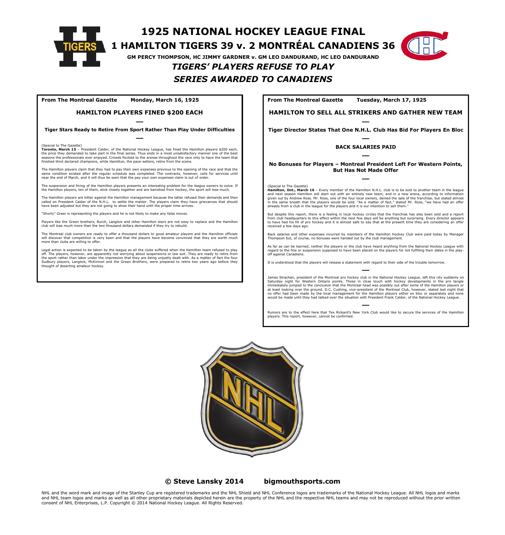

**1925 NATIONAL HOCKEY LEAGUE FINAL**

### **1 HAMILTON TIGERS 39 v. 2 MONTRÉAL CANADIENS 36**

**GM PERCY THOMPSON, HC JIMMY GARDNER v. GM LEO DANDURAND, HC LEO DANDURAND**

### *TIGERS' PLAYERS REFUSE TO PLAY SERIES AWARDED TO CANADIENS*

**From The Montreal Gazette Monday, March 16, 1925**

#### **HAMILTON PLAYERS FINED \$200 EACH**

― **Tiger Stars Ready to Retire From Sport Rather Than Play Under Difficulties** ―

(Special to The Gazette) **Toronto, March 15** – President Calder, of the National Hockey League, has fined the Hamilton players \$200 each, the price they demanded to take part in the final series. Thus ends in a most unsatisfactory manner one of the best<br>seasons the professionals ever enjoyed. Crowds flocked to the arenas throughout the race only to have the finished third declared champions, while Hamilton, the pace-setters, retire from the scene.

The Hamilton players claim that they had to pay their own expenses previous to the opening of the race and that the<br>same condition existed after the reqular schedule was completed. The contracts, however, calls for service near the end of March, and it will thus be seen that the pay your own expenses claim is out of order.

suspension and fining of the Hamilton players presents an interesting problem for the league owners to solve. If the Hamilton players, ten of them, stick closely together and are banished from hockey, the sport will lose much.

The Hamilton players are bitter against the Hamilton management because the latter refused their demands and then called on President Calder of the N.H.L. to settle the matter. The players claim they have grievances that should<br>have been adjusted but they are not going to show their hand until the proper time arrives.

er is representing the players and he is not likely to make any false moves

Players like the Green brothers, Burch, Langlois and other Hamilton stars are not easy to replace and the Hamilton club will lose much more than the two thousand dollars demanded if they try to rebuild.

The Montreal club owners are ready to offer a thousand dollars to good amateur players and the Hamilton officials will discover that competition is very keen and that the players have become convinced that they are worth much more than clubs are willing to offer.

Legal action is expected to be taken by the league as all the clubs suffered when the Hamilton team refused to play off. The players, however, are apparently not worrying about suspensions or law suit. They are ready to retire from<br>the sport rather than labor under the impression that they are being unjustly dealt with. As a matter of f Sudbury players, Langlois, McKinnon and the Green Brothers, were prepared to retire two years ago before they thought of deserting amateur hockey. **From The Montreal Gazette Tuesday, March 17, 1925**

**HAMILTON TO SELL ALL STRIKERS AND GATHER NEW TEAM**

― **Tiger Director States That One N.H.L. Club Has Bid For Players En Bloc**

#### ― **BACK SALARIES PAID** ―

#### **No Bonuses for Players – Montreal President Left For Western Points, But Has Not Made Offer** ―

(Special to The Gazette) **Hamilton, Ont., March 16** – Every member of the Hamilton N.H.L. club is to be sold to another team in the league and next season Hamilton will start out with an entirely new team, and in a new arena, according to information<br>given out by Andrew Ross. Mr. Ross, one of the four local owners, denied the sale of the franchise, but stated in the same breath that the players would be sold. "As a matter of fact," stated Mr. Ross, "we have had an offer<br>already from a club in the leaque for the players and it is our intention to sell them."

But despite this report, there is a feeling in local hockey circles that the franchise has also been sold and a report<br>from club headquarters to this effect within the next few days will be anything but surprising. Every d to have had his fill of pro hockey and it is almost safe to say that at the present time they are considering an offer received a few days ac<br>received a few days ac

Back salaries and other expenses incurred by members of the Hamilton Hockey Club were paid today by Manager Thompson but, of course, no bonuses were handed out by the club management.

As far as can be learned, neither the players or the club have heard anything from the National Hockey League with regard to the fine or suspension supposed to have been placed on the players for not fulfilling their dates in the playoff against Canadiens.

It is understood that the players will release a statement with regard to their side of the trouble tomorrow.

― James Strachan, president of the Montreal pro hockey club in the National Hockey League, left this city suddenly on Saturday night for Western Ontario points. Those in close touch with hockey developments in the pro tangle immediately jumped to the conclusion that the Montreal head was possibly out after some of the Hamilton players or at least looking over the ground. D.C. Cushing, vice-president of the Montreal Club, however, stated last night that<br>no offer had been made by the local management for the Hamilton players either en bloc or separately and

― Rumors are to the effect here that Tex Rickard's New York Club would like to secure the services of the Hamilton players. This report, however, cannot be confirmed.



**© Steve Lansky 2014 [bigmouthsports.com](http://bigmouthsports.com/stanley-cup-playoff-summaries/)**

NHL and the word mark and image of the Stanley Cup are registered trademarks and the NHL Shield and NHL Conference logos are trademarks of the National Hockey League. All NHL logos and marks and NHL team logos and marks as well as all other proprietary materials depicted herein are the property of the NHL and the respective NHL teams and may not be reproduced without the prior written consent of NHL Enterprises, L.P. Copyright © 2014 National Hockey League. All Rights Reserved.